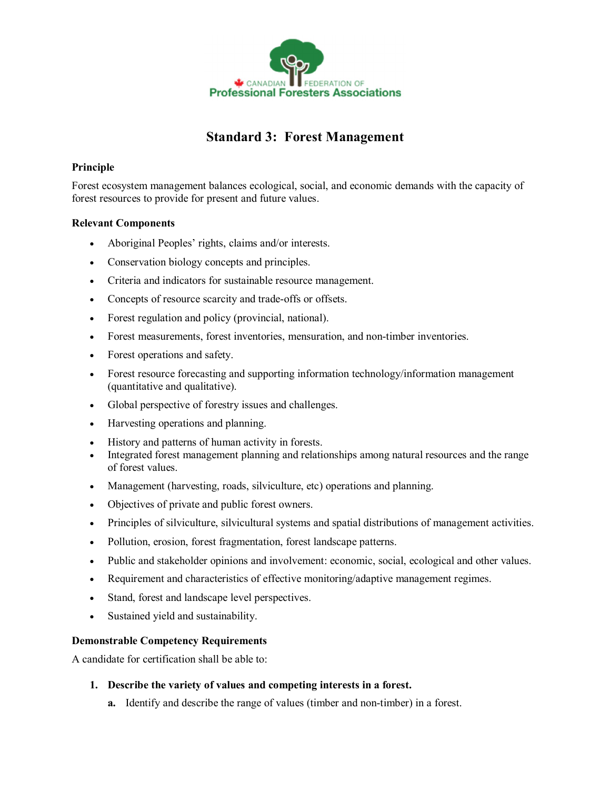

# **Standard 3: Forest Management**

# **Principle**

Forest ecosystem management balances ecological, social, and economic demands with the capacity of forest resources to provide for present and future values.

## **Relevant Components**

- · Aboriginal Peoples' rights, claims and/or interests.
- · Conservation biology concepts and principles.
- · Criteria and indicators for sustainable resource management.
- Concepts of resource scarcity and trade-offs or offsets.
- · Forest regulation and policy (provincial, national).
- Forest measurements, forest inventories, mensuration, and non-timber inventories.
- Forest operations and safety.
- · Forest resource forecasting and supporting information technology/information management (quantitative and qualitative).
- · Global perspective of forestry issues and challenges.
- · Harvesting operations and planning.
- · History and patterns of human activity in forests.
- Integrated forest management planning and relationships among natural resources and the range of forest values.
- · Management (harvesting, roads, silviculture, etc) operations and planning.
- · Objectives of private and public forest owners.
- · Principles of silviculture, silvicultural systems and spatial distributions of management activities.
- · Pollution, erosion, forest fragmentation, forest landscape patterns.
- · Public and stakeholder opinions and involvement: economic, social, ecological and other values.
- · Requirement and characteristics of effective monitoring/adaptive management regimes.
- · Stand, forest and landscape level perspectives.
- · Sustained yield and sustainability.

## **Demonstrable Competency Requirements**

A candidate for certification shall be able to:

#### **1. Describe the variety of values and competing interests in a forest.**

**a.** Identify and describe the range of values (timber and non-timber) in a forest.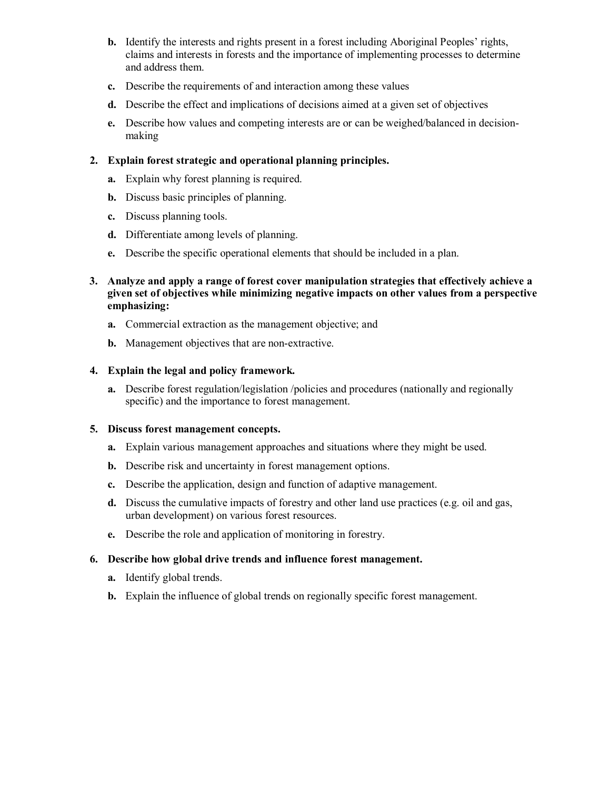- **b.** Identify the interests and rights present in a forest including Aboriginal Peoples' rights, claims and interests in forests and the importance of implementing processes to determine and address them.
- **c.** Describe the requirements of and interaction among these values
- **d.** Describe the effect and implications of decisions aimed at a given set of objectives
- **e.** Describe how values and competing interests are or can be weighed/balanced in decisionmaking

## **2. Explain forest strategic and operational planning principles.**

- **a.** Explain why forest planning is required.
- **b.** Discuss basic principles of planning.
- **c.** Discuss planning tools.
- **d.** Differentiate among levels of planning.
- **e.** Describe the specific operational elements that should be included in a plan.
- **3. Analyze and apply a range of forest cover manipulation strategies that effectively achieve a given set of objectives while minimizing negative impacts on other values from a perspective emphasizing:**
	- **a.** Commercial extraction as the management objective; and
	- **b.** Management objectives that are non-extractive.

## **4. Explain the legal and policy framework.**

**a.** Describe forest regulation/legislation /policies and procedures (nationally and regionally specific) and the importance to forest management.

#### **5. Discuss forest management concepts.**

- **a.** Explain various management approaches and situations where they might be used.
- **b.** Describe risk and uncertainty in forest management options.
- **c.** Describe the application, design and function of adaptive management.
- **d.** Discuss the cumulative impacts of forestry and other land use practices (e.g. oil and gas, urban development) on various forest resources.
- **e.** Describe the role and application of monitoring in forestry.

#### **6. Describe how global drive trends and influence forest management.**

- **a.** Identify global trends.
- **b.** Explain the influence of global trends on regionally specific forest management.